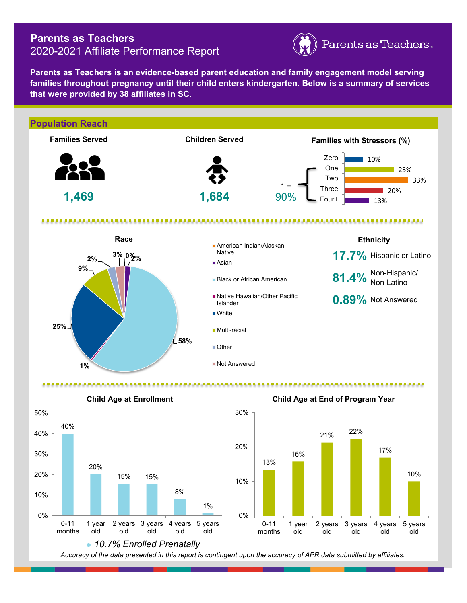## **Parents as Teachers** 2020-2021 Affiliate Performance Report



**Parents as Teachers is an evidence-based parent education and family engagement model serving families throughout pregnancy until their child enters kindergarten. Below is a summary of services that were provided by 38 affiliates in SC.**







**Child Age at End of Program Year**

*Accuracy of the data presented in this report is contingent upon the accuracy of APR data submitted by affiliates.*